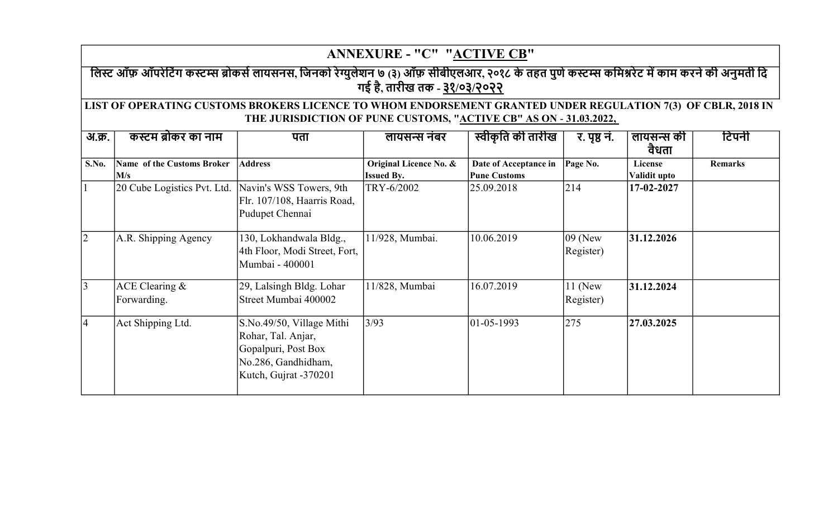|                | <b>ANNEXURE - "C" "ACTIVE CB"</b>                                                                                                                                                 |                                                                                                                        |                                             |                                              |                          |                         |                |  |  |  |
|----------------|-----------------------------------------------------------------------------------------------------------------------------------------------------------------------------------|------------------------------------------------------------------------------------------------------------------------|---------------------------------------------|----------------------------------------------|--------------------------|-------------------------|----------------|--|--|--|
|                | लिस्ट ऑफ़ ऑपरेटिंग कस्टम्स ब्रोकर्स लायसनस, जिनको रेग्युलेशन ७ (३) ऑफ़ सीबीएलआर, २०१८ के तहत पुणे कस्टम्स कमिश्नरेट में काम करने की अनुमती दि<br>गई है, तारीख तक - ३१/०३/२०२२     |                                                                                                                        |                                             |                                              |                          |                         |                |  |  |  |
|                | LIST OF OPERATING CUSTOMS BROKERS LICENCE TO WHOM ENDORSEMENT GRANTED UNDER REGULATION 7(3) OF CBLR, 2018 IN<br>THE JURISDICTION OF PUNE CUSTOMS, "ACTIVE CB" AS ON - 31.03.2022, |                                                                                                                        |                                             |                                              |                          |                         |                |  |  |  |
| अ.क्र.         | कस्टम ब्रोकर का नाम                                                                                                                                                               | पता                                                                                                                    | लायसन्स नंबर                                | स्वीकृति की तारीख                            | र. पृष्ठ नं.             | लायसन्स की<br>वैधता     | टिपनी          |  |  |  |
| S.No.          | <b>Name of the Customs Broker</b><br>M/s                                                                                                                                          | <b>Address</b>                                                                                                         | Original Licence No. &<br><b>Issued By.</b> | Date of Acceptance in<br><b>Pune Customs</b> | Page No.                 | License<br>Validit upto | <b>Remarks</b> |  |  |  |
|                | 20 Cube Logistics Pvt. Ltd.                                                                                                                                                       | Navin's WSS Towers, 9th<br>Flr. 107/108, Haarris Road,<br>Pudupet Chennai                                              | TRY-6/2002                                  | 25.09.2018                                   | 214                      | 17-02-2027              |                |  |  |  |
| $ 2\rangle$    | A.R. Shipping Agency                                                                                                                                                              | 130, Lokhandwala Bldg.,<br>4th Floor, Modi Street, Fort,<br>Mumbai - 400001                                            | 11/928, Mumbai.                             | 10.06.2019                                   | $ 09 $ (New<br>Register) | 31.12.2026              |                |  |  |  |
| $\overline{3}$ | ACE Clearing $&$<br>Forwarding.                                                                                                                                                   | 29, Lalsingh Bldg. Lohar<br>Street Mumbai 400002                                                                       | 11/828, Mumbai                              | 16.07.2019                                   | $11$ (New<br>Register)   | 31.12.2024              |                |  |  |  |
| $\vert 4$      | Act Shipping Ltd.                                                                                                                                                                 | S.No.49/50, Village Mithi<br>Rohar, Tal. Anjar,<br>Gopalpuri, Post Box<br>No.286, Gandhidham,<br>Kutch, Gujrat -370201 | 3/93                                        | $ 01-05-1993 $                               | 275                      | 27.03.2025              |                |  |  |  |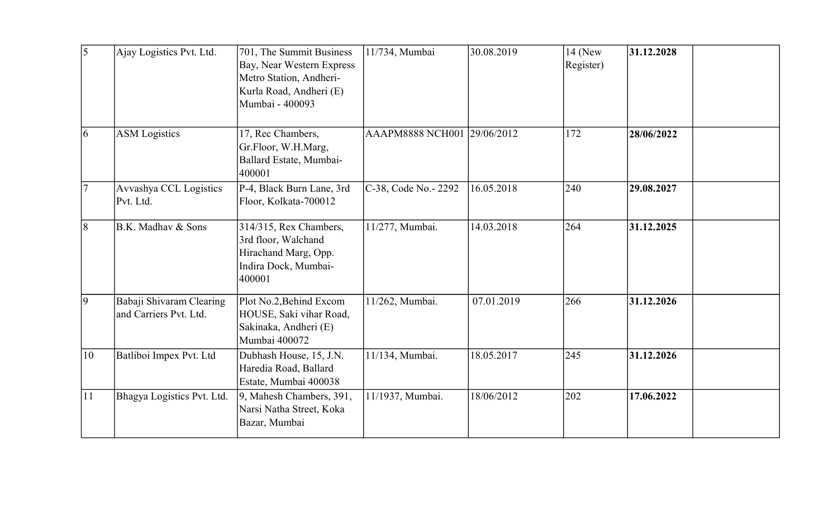| 5               | Ajay Logistics Pvt. Ltd.                           | 701, The Summit Business<br>Bay, Near Western Express<br>Metro Station, Andheri-<br>Kurla Road, Andheri (E)<br>Mumbai - 400093 | 11/734, Mumbai              | 30.08.2019 | $14$ (New<br>Register) | 31.12.2028 |
|-----------------|----------------------------------------------------|--------------------------------------------------------------------------------------------------------------------------------|-----------------------------|------------|------------------------|------------|
| $\overline{6}$  | <b>ASM</b> Logistics                               | 17, Rec Chambers,<br>Gr.Floor, W.H.Marg,<br>Ballard Estate, Mumbai-<br>400001                                                  | AAAPM8888 NCH001 29/06/2012 |            | 172                    | 28/06/2022 |
|                 | Avvashya CCL Logistics<br>Pvt. Ltd.                | P-4, Black Burn Lane, 3rd<br>Floor, Kolkata-700012                                                                             | C-38, Code No.- 2292        | 16.05.2018 | 240                    | 29.08.2027 |
| 8               | B.K. Madhay & Sons                                 | 314/315, Rex Chambers,<br>3rd floor, Walchand<br>Hirachand Marg, Opp.<br>Indira Dock, Mumbai-<br>400001                        | 11/277, Mumbai.             | 14.03.2018 | 264                    | 31.12.2025 |
| $\vert 9 \vert$ | Babaji Shivaram Clearing<br>and Carriers Pvt. Ltd. | Plot No.2, Behind Excom<br>HOUSE, Saki vihar Road,<br>Sakinaka, Andheri (E)<br>Mumbai 400072                                   | 11/262, Mumbai.             | 07.01.2019 | 266                    | 31.12.2026 |
| 10              | Batliboi Impex Pvt. Ltd                            | Dubhash House, 15, J.N.<br>Haredia Road, Ballard<br>Estate, Mumbai 400038                                                      | 11/134, Mumbai.             | 18.05.2017 | 245                    | 31.12.2026 |
| 11              | Bhagya Logistics Pvt. Ltd.                         | 9, Mahesh Chambers, 391,<br>Narsi Natha Street, Koka<br>Bazar, Mumbai                                                          | 11/1937, Mumbai.            | 18/06/2012 | 202                    | 17.06.2022 |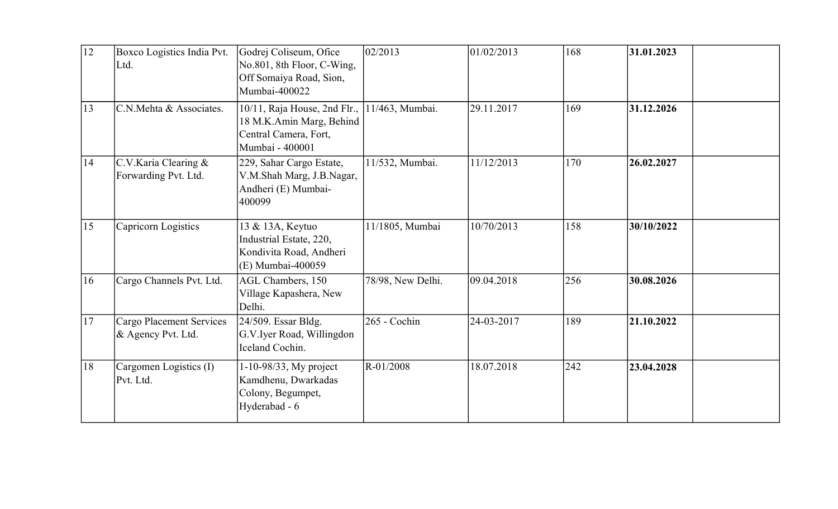| 12 | Boxco Logistics India Pvt.<br>Ltd.                    | Godrej Coliseum, Ofice<br>No.801, 8th Floor, C-Wing,<br>Off Somaiya Road, Sion,<br>Mumbai-400022     | 02/2013           | 01/02/2013 | 168 | 31.01.2023 |
|----|-------------------------------------------------------|------------------------------------------------------------------------------------------------------|-------------------|------------|-----|------------|
| 13 | C.N.Mehta & Associates.                               | 10/11, Raja House, 2nd Flr.,<br>18 M.K.Amin Marg, Behind<br>Central Camera, Fort,<br>Mumbai - 400001 | 11/463, Mumbai.   | 29.11.2017 | 169 | 31.12.2026 |
| 14 | C.V.Karia Clearing &<br>Forwarding Pvt. Ltd.          | 229, Sahar Cargo Estate,<br>V.M.Shah Marg, J.B.Nagar,<br>Andheri (E) Mumbai-<br>400099               | 11/532, Mumbai.   | 11/12/2013 | 170 | 26.02.2027 |
| 15 | Capricorn Logistics                                   | 13 & 13A, Keytuo<br>Industrial Estate, 220,<br>Kondivita Road, Andheri<br>(E) Mumbai-400059          | 11/1805, Mumbai   | 10/70/2013 | 158 | 30/10/2022 |
| 16 | Cargo Channels Pvt. Ltd.                              | AGL Chambers, 150<br>Village Kapashera, New<br>Delhi.                                                | 78/98, New Delhi. | 09.04.2018 | 256 | 30.08.2026 |
| 17 | <b>Cargo Placement Services</b><br>& Agency Pvt. Ltd. | 24/509. Essar Bldg.<br>G.V.Iyer Road, Willingdon<br>Iceland Cochin.                                  | 265 - Cochin      | 24-03-2017 | 189 | 21.10.2022 |
| 18 | Cargomen Logistics (I)<br>Pvt. Ltd.                   | 1-10-98/33, My project<br>Kamdhenu, Dwarkadas<br>Colony, Begumpet,<br>Hyderabad - 6                  | R-01/2008         | 18.07.2018 | 242 | 23.04.2028 |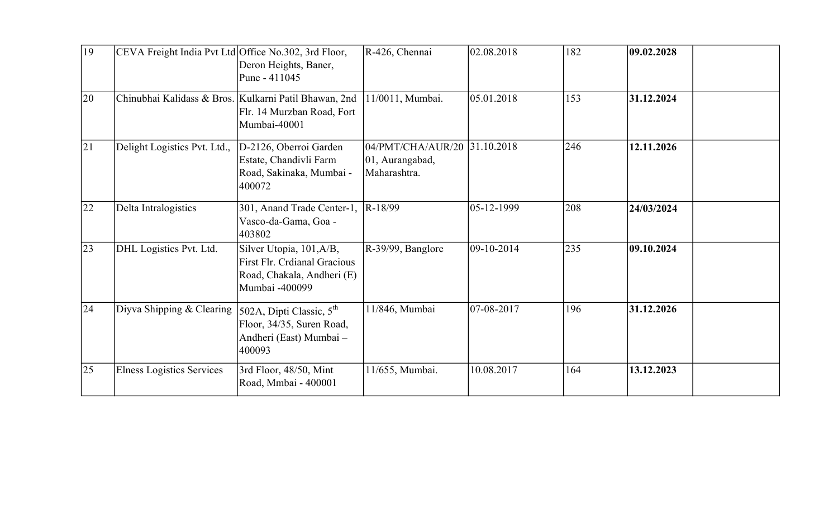| 19 | CEVA Freight India Pvt Ltd Office No.302, 3rd Floor,  | Deron Heights, Baner,<br>Pune - 411045                                                                   | R-426, Chennai                                                  | 02.08.2018     | 182 | 09.02.2028 |
|----|-------------------------------------------------------|----------------------------------------------------------------------------------------------------------|-----------------------------------------------------------------|----------------|-----|------------|
| 20 | Chinubhai Kalidass & Bros. Kulkarni Patil Bhawan, 2nd | Flr. 14 Murzban Road, Fort<br>Mumbai-40001                                                               | 11/0011, Mumbai.                                                | 05.01.2018     | 153 | 31.12.2024 |
| 21 | Delight Logistics Pvt. Ltd.,                          | D-2126, Oberroi Garden<br>Estate, Chandivli Farm<br>Road, Sakinaka, Mumbai -<br>400072                   | 04/PMT/CHA/AUR/20 31.10.2018<br>01, Aurangabad,<br>Maharashtra. |                | 246 | 12.11.2026 |
| 22 | Delta Intralogistics                                  | 301, Anand Trade Center-1,<br>Vasco-da-Gama, Goa -<br>403802                                             | R-18/99                                                         | $ 05-12-1999 $ | 208 | 24/03/2024 |
| 23 | DHL Logistics Pvt. Ltd.                               | Silver Utopia, 101, A/B,<br>First Flr. Crdianal Gracious<br>Road, Chakala, Andheri (E)<br>Mumbai -400099 | R-39/99, Banglore                                               | $ 09-10-2014 $ | 235 | 09.10.2024 |
| 24 | Diyva Shipping $& Clearing$                           | $502A$ , Dipti Classic, $5^{th}$<br>Floor, 34/35, Suren Road,<br>Andheri (East) Mumbai -<br>400093       | 11/846, Mumbai                                                  | $ 07-08-2017$  | 196 | 31.12.2026 |
| 25 | Elness Logistics Services                             | 3rd Floor, 48/50, Mint<br>Road, Mmbai - 400001                                                           | 11/655, Mumbai.                                                 | 10.08.2017     | 164 | 13.12.2023 |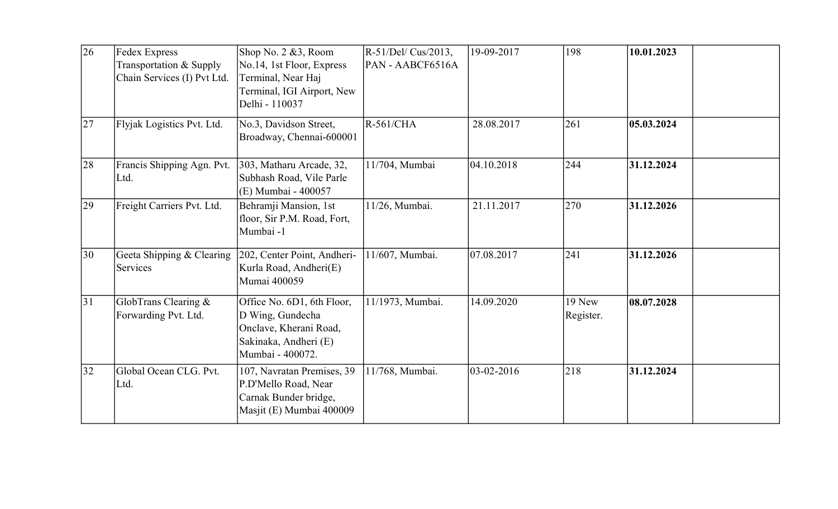| 26 | Fedex Express<br>Transportation & Supply<br>Chain Services (I) Pvt Ltd. | Shop No. 2 &3, Room<br>No.14, 1st Floor, Express<br>Terminal, Near Haj<br>Terminal, IGI Airport, New<br>Delhi - 110037 | R-51/Del/ Cus/2013,<br>PAN - AABCF6516A | 19-09-2017     | 198                 | 10.01.2023 |
|----|-------------------------------------------------------------------------|------------------------------------------------------------------------------------------------------------------------|-----------------------------------------|----------------|---------------------|------------|
| 27 | Flyjak Logistics Pvt. Ltd.                                              | No.3, Davidson Street,<br>Broadway, Chennai-600001                                                                     | <b>R-561/CHA</b>                        | 28.08.2017     | 261                 | 05.03.2024 |
| 28 | Francis Shipping Agn. Pvt.<br>Ltd.                                      | 303, Matharu Arcade, 32,<br>Subhash Road, Vile Parle<br>(E) Mumbai - 400057                                            | 11/704, Mumbai                          | 04.10.2018     | 244                 | 31.12.2024 |
| 29 | Freight Carriers Pvt. Ltd.                                              | Behramji Mansion, 1st<br>floor, Sir P.M. Road, Fort,<br>Mumbai-1                                                       | 11/26, Mumbai.                          | 21.11.2017     | 270                 | 31.12.2026 |
| 30 | Geeta Shipping & Clearing<br>Services                                   | 202, Center Point, Andheri-<br>Kurla Road, Andheri(E)<br>Mumai 400059                                                  | 11/607, Mumbai.                         | 07.08.2017     | 241                 | 31.12.2026 |
| 31 | GlobTrans Clearing $\&$<br>Forwarding Pvt. Ltd.                         | Office No. 6D1, 6th Floor,<br>D Wing, Gundecha<br>Onclave, Kherani Road,<br>Sakinaka, Andheri (E)<br>Mumbai - 400072.  | 11/1973, Mumbai.                        | 14.09.2020     | 19 New<br>Register. | 08.07.2028 |
| 32 | Global Ocean CLG. Pvt.<br>Ltd.                                          | 107, Navratan Premises, 39<br>P.D'Mello Road, Near<br>Carnak Bunder bridge,<br>Masjit (E) Mumbai 400009                | 11/768, Mumbai.                         | $ 03-02-2016 $ | 218                 | 31.12.2024 |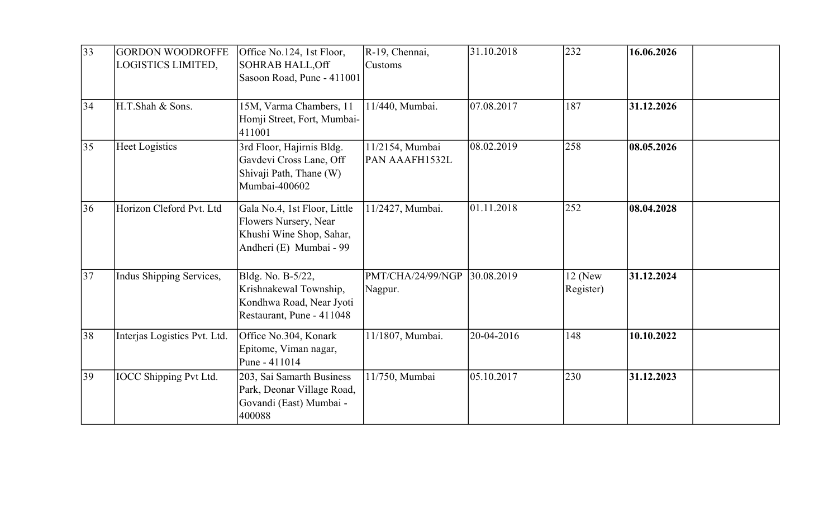| 33 | <b>GORDON WOODROFFE</b><br>LOGISTICS LIMITED, | Office No.124, 1st Floor,<br><b>SOHRAB HALL, Off</b><br>Sasoon Road, Pune - 411001                           | R-19, Chennai,<br>Customs         | 31.10.2018 | 232                    | 16.06.2026 |
|----|-----------------------------------------------|--------------------------------------------------------------------------------------------------------------|-----------------------------------|------------|------------------------|------------|
| 34 | H.T.Shah & Sons.                              | 15M, Varma Chambers, 11<br>Homji Street, Fort, Mumbai-<br>411001                                             | 11/440, Mumbai.                   | 07.08.2017 | 187                    | 31.12.2026 |
| 35 | Heet Logistics                                | 3rd Floor, Hajirnis Bldg.<br>Gavdevi Cross Lane, Off<br>Shivaji Path, Thane (W)<br>Mumbai-400602             | 11/2154, Mumbai<br>PAN AAAFH1532L | 08.02.2019 | 258                    | 08.05.2026 |
| 36 | Horizon Cleford Pvt. Ltd                      | Gala No.4, 1st Floor, Little<br>Flowers Nursery, Near<br>Khushi Wine Shop, Sahar,<br>Andheri (E) Mumbai - 99 | 11/2427, Mumbai.                  | 01.11.2018 | 252                    | 08.04.2028 |
| 37 | Indus Shipping Services,                      | Bldg. No. B-5/22,<br>Krishnakewal Township,<br>Kondhwa Road, Near Jyoti<br>Restaurant, Pune - 411048         | PMT/CHA/24/99/NGP<br>Nagpur.      | 30.08.2019 | $12$ (New<br>Register) | 31.12.2024 |
| 38 | Interjas Logistics Pvt. Ltd.                  | Office No.304, Konark<br>Epitome, Viman nagar,<br>Pune - 411014                                              | 11/1807, Mumbai.                  | 20-04-2016 | 148                    | 10.10.2022 |
| 39 | <b>IOCC</b> Shipping Pvt Ltd.                 | 203, Sai Samarth Business<br>Park, Deonar Village Road,<br>Govandi (East) Mumbai -<br>400088                 | 11/750, Mumbai                    | 05.10.2017 | 230                    | 31.12.2023 |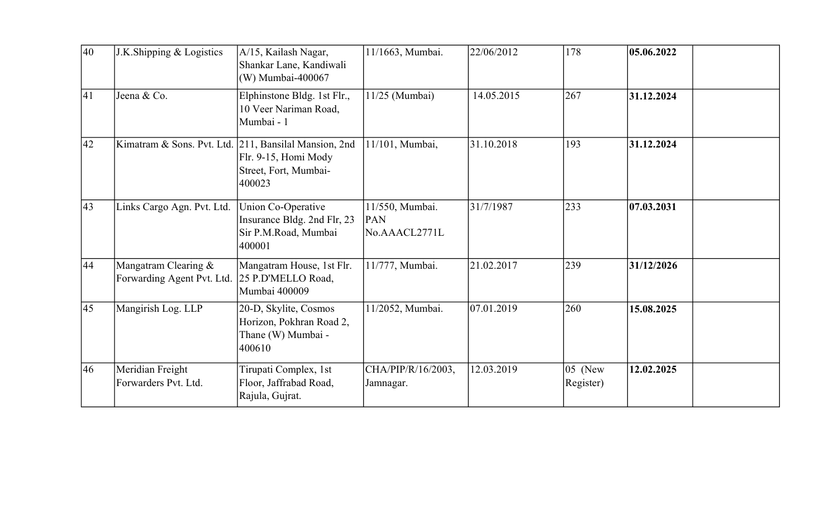| 40           | J.K.Shipping & Logistics                             | A/15, Kailash Nagar,<br>Shankar Lane, Kandiwali<br>(W) Mumbai-400067                                             | 11/1663, Mumbai.                        | 22/06/2012 | 178                  | 05.06.2022 |
|--------------|------------------------------------------------------|------------------------------------------------------------------------------------------------------------------|-----------------------------------------|------------|----------------------|------------|
| $ 41\rangle$ | Jeena & Co.                                          | Elphinstone Bldg. 1st Flr.,<br>10 Veer Nariman Road,<br>Mumbai - 1                                               | 11/25 (Mumbai)                          | 14.05.2015 | 267                  | 31.12.2024 |
| 42           |                                                      | Kimatram & Sons. Pvt. Ltd. 211, Bansilal Mansion, 2nd<br>Flr. 9-15, Homi Mody<br>Street, Fort, Mumbai-<br>400023 | 11/101, Mumbai,                         | 31.10.2018 | 193                  | 31.12.2024 |
| $ 43\rangle$ | Links Cargo Agn. Pvt. Ltd.                           | Union Co-Operative<br>Insurance Bldg. 2nd Flr, 23<br>Sir P.M.Road, Mumbai<br>400001                              | 11/550, Mumbai.<br>PAN<br>No.AAACL2771L | 31/7/1987  | 233                  | 07.03.2031 |
| 44           | Mangatram Clearing $&$<br>Forwarding Agent Pvt. Ltd. | Mangatram House, 1st Flr.<br>25 P.D'MELLO Road,<br>Mumbai 400009                                                 | 11/777, Mumbai.                         | 21.02.2017 | 239                  | 31/12/2026 |
| $ 45\rangle$ | Mangirish Log. LLP                                   | 20-D, Skylite, Cosmos<br>Horizon, Pokhran Road 2,<br>Thane (W) Mumbai -<br>400610                                | 11/2052, Mumbai.                        | 07.01.2019 | 260                  | 15.08.2025 |
| 46           | Meridian Freight<br>Forwarders Pvt. Ltd.             | Tirupati Complex, 1st<br>Floor, Jaffrabad Road,<br>Rajula, Gujrat.                                               | CHA/PIP/R/16/2003,<br>Jamnagar.         | 12.03.2019 | 05 (New<br>Register) | 12.02.2025 |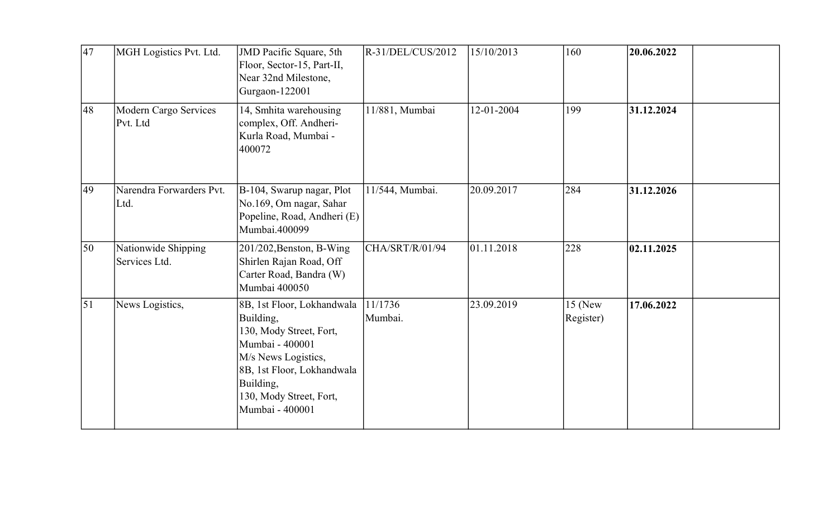| $\overline{47}$  | MGH Logistics Pvt. Ltd.              | JMD Pacific Square, 5th<br>Floor, Sector-15, Part-II,<br>Near 32nd Milestone,<br>Gurgaon-122001                                                                                                       | $R-31/DEL/CUS/2012$ | 15/10/2013 | 160                    | 20.06.2022 |
|------------------|--------------------------------------|-------------------------------------------------------------------------------------------------------------------------------------------------------------------------------------------------------|---------------------|------------|------------------------|------------|
| 48               | Modern Cargo Services<br>Pvt. Ltd    | 14, Smhita warehousing<br>complex, Off. Andheri-<br>Kurla Road, Mumbai -<br>400072                                                                                                                    | 11/881, Mumbai      | 12-01-2004 | 199                    | 31.12.2024 |
| 49               | Narendra Forwarders Pvt.<br>Ltd.     | B-104, Swarup nagar, Plot<br>No.169, Om nagar, Sahar<br>Popeline, Road, Andheri (E)<br>Mumbai.400099                                                                                                  | 11/544, Mumbai.     | 20.09.2017 | 284                    | 31.12.2026 |
| 50               | Nationwide Shipping<br>Services Ltd. | 201/202, Benston, B-Wing<br>Shirlen Rajan Road, Off<br>Carter Road, Bandra (W)<br>Mumbai 400050                                                                                                       | CHA/SRT/R/01/94     | 01.11.2018 | 228                    | 02.11.2025 |
| $\vert 51 \vert$ | News Logistics,                      | 8B, 1st Floor, Lokhandwala<br>Building,<br>130, Mody Street, Fort,<br>Mumbai - 400001<br>M/s News Logistics,<br>8B, 1st Floor, Lokhandwala<br>Building,<br>130, Mody Street, Fort,<br>Mumbai - 400001 | 11/1736<br>Mumbai.  | 23.09.2019 | $15$ (New<br>Register) | 17.06.2022 |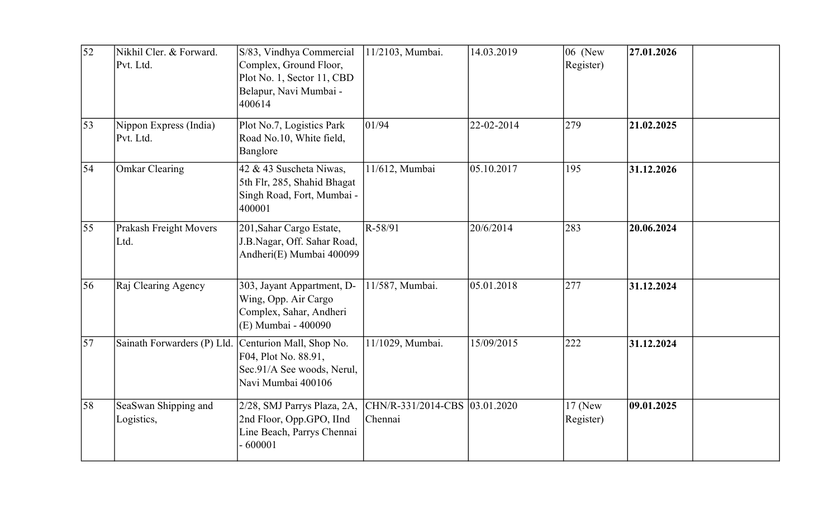| 52 | Nikhil Cler. & Forward.<br>Pvt. Ltd. | S/83, Vindhya Commercial<br>Complex, Ground Floor,<br>Plot No. 1, Sector 11, CBD<br>Belapur, Navi Mumbai -<br>400614 | 11/2103, Mumbai.                         | 14.03.2019 | 06 (New<br>Register)   | 27.01.2026 |
|----|--------------------------------------|----------------------------------------------------------------------------------------------------------------------|------------------------------------------|------------|------------------------|------------|
| 53 | Nippon Express (India)<br>Pvt. Ltd.  | Plot No.7, Logistics Park<br>Road No.10, White field,<br>Banglore                                                    | 01/94                                    | 22-02-2014 | 279                    | 21.02.2025 |
| 54 | Omkar Clearing                       | 42 & 43 Suscheta Niwas,<br>5th Flr, 285, Shahid Bhagat<br>Singh Road, Fort, Mumbai -<br>400001                       | 11/612, Mumbai                           | 05.10.2017 | 195                    | 31.12.2026 |
| 55 | Prakash Freight Movers<br>Ltd.       | 201, Sahar Cargo Estate,<br>J.B.Nagar, Off. Sahar Road,<br>Andheri(E) Mumbai 400099                                  | R-58/91                                  | 20/6/2014  | 283                    | 20.06.2024 |
| 56 | Raj Clearing Agency                  | 303, Jayant Appartment, D-<br>Wing, Opp. Air Cargo<br>Complex, Sahar, Andheri<br>(E) Mumbai - 400090                 | 11/587, Mumbai.                          | 05.01.2018 | 277                    | 31.12.2024 |
| 57 | Sainath Forwarders (P) Lld.          | Centurion Mall, Shop No.<br>F04, Plot No. 88.91,<br>Sec.91/A See woods, Nerul,<br>Navi Mumbai 400106                 | 11/1029, Mumbai.                         | 15/09/2015 | 222                    | 31.12.2024 |
| 58 | SeaSwan Shipping and<br>Logistics,   | 2/28, SMJ Parrys Plaza, 2A,<br>2nd Floor, Opp.GPO, IInd<br>Line Beach, Parrys Chennai<br>$-600001$                   | CHN/R-331/2014-CBS 03.01.2020<br>Chennai |            | $17$ (New<br>Register) | 09.01.2025 |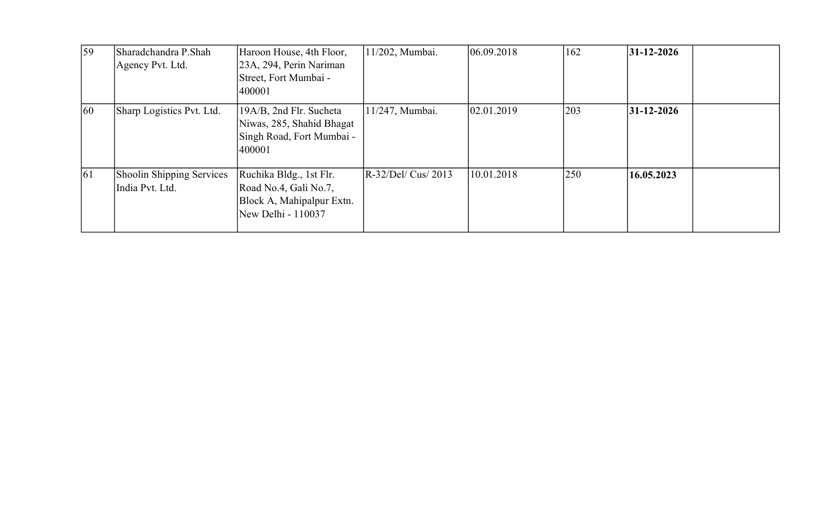| 59         | Sharadchandra P.Shah<br>Agency Pvt. Ltd.     | Haroon House, 4th Floor,<br>23A, 294, Perin Nariman<br>Street, Fort Mumbai -<br>400001              | 11/202, Mumbai.     | 06.09.2018 | 162 | $ 31-12-2026 $ |
|------------|----------------------------------------------|-----------------------------------------------------------------------------------------------------|---------------------|------------|-----|----------------|
| 60         | Sharp Logistics Pvt. Ltd.                    | 19A/B, 2nd Flr. Sucheta<br>Niwas, 285, Shahid Bhagat<br>Singh Road, Fort Mumbai -<br>400001         | 11/247, Mumbai.     | 02.01.2019 | 203 | $ 31-12-2026 $ |
| $\vert 61$ | Shoolin Shipping Services<br>India Pvt. Ltd. | Ruchika Bldg., 1st Flr.<br>Road No.4, Gali No.7,<br>Block A, Mahipalpur Extn.<br>New Delhi - 110037 | $R-32/Del/Cus/2013$ | 10.01.2018 | 250 | 16.05.2023     |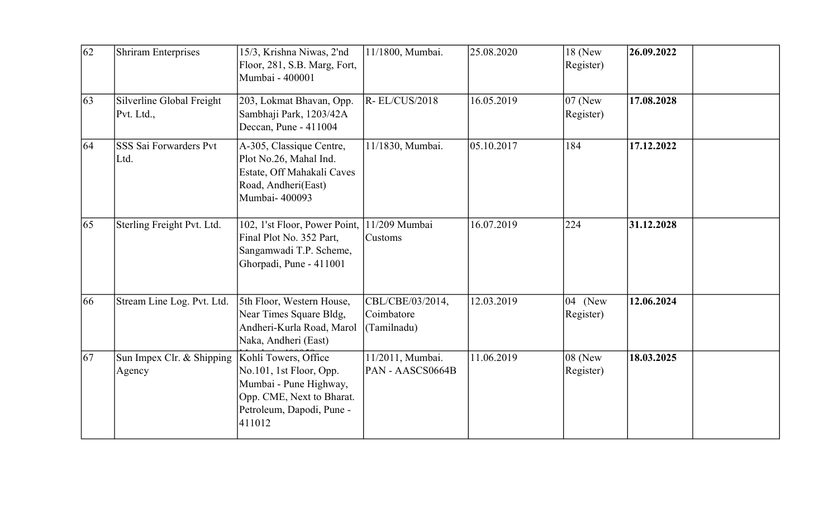| 62 | <b>Shriram Enterprises</b>              | 15/3, Krishna Niwas, 2'nd<br>Floor, 281, S.B. Marg, Fort,<br>Mumbai - 400001                                                                  | 11/1800, Mumbai.                              | 25.08.2020 | 18 (New<br>Register)            | 26.09.2022 |
|----|-----------------------------------------|-----------------------------------------------------------------------------------------------------------------------------------------------|-----------------------------------------------|------------|---------------------------------|------------|
| 63 | Silverline Global Freight<br>Pvt. Ltd., | 203, Lokmat Bhavan, Opp.<br>Sambhaji Park, 1203/42A<br>Deccan, Pune - 411004                                                                  | $R$ - EL/CUS/2018                             | 16.05.2019 | $ 07 \rangle$ (New<br>Register) | 17.08.2028 |
| 64 | <b>SSS Sai Forwarders Pvt</b><br>Ltd.   | A-305, Classique Centre,<br>Plot No.26, Mahal Ind.<br>Estate, Off Mahakali Caves<br>Road, Andheri(East)<br>Mumbai-400093                      | 11/1830, Mumbai.                              | 05.10.2017 | 184                             | 17.12.2022 |
| 65 | Sterling Freight Pvt. Ltd.              | 102, 1'st Floor, Power Point,<br>Final Plot No. 352 Part,<br>Sangamwadi T.P. Scheme,<br>Ghorpadi, Pune - 411001                               | 11/209 Mumbai<br><b>Customs</b>               | 16.07.2019 | 224                             | 31.12.2028 |
| 66 | Stream Line Log. Pvt. Ltd.              | 5th Floor, Western House,<br>Near Times Square Bldg,<br>Andheri-Kurla Road, Marol<br>Naka, Andheri (East)                                     | CBL/CBE/03/2014,<br>Coimbatore<br>(Tamilnadu) | 12.03.2019 | 04 (New<br>Register)            | 12.06.2024 |
| 67 | Sun Impex Clr. & Shipping<br>Agency     | Kohli Towers, Office<br>No.101, 1st Floor, Opp.<br>Mumbai - Pune Highway,<br>Opp. CME, Next to Bharat.<br>Petroleum, Dapodi, Pune -<br>411012 | 11/2011, Mumbai.<br>PAN - AASCS0664B          | 11.06.2019 | 08 (New<br>Register)            | 18.03.2025 |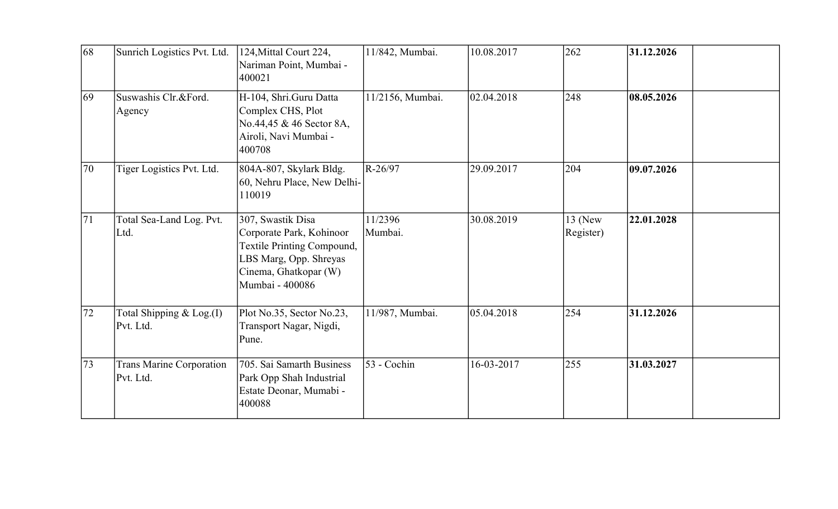| 68              | Sunrich Logistics Pvt. Ltd.                  | 124, Mittal Court 224,<br>Nariman Point, Mumbai -<br>400021                                                                                       | 11/842, Mumbai.    | 10.08.2017 | 262                  | 31.12.2026 |
|-----------------|----------------------------------------------|---------------------------------------------------------------------------------------------------------------------------------------------------|--------------------|------------|----------------------|------------|
| $\overline{69}$ | Suswashis Clr.&Ford.<br>Agency               | H-104, Shri.Guru Datta<br>Complex CHS, Plot<br>No.44,45 & 46 Sector 8A,<br>Airoli, Navi Mumbai -<br>400708                                        | 11/2156, Mumbai.   | 02.04.2018 | 248                  | 08.05.2026 |
| 70              | Tiger Logistics Pvt. Ltd.                    | 804A-807, Skylark Bldg.<br>60, Nehru Place, New Delhi-<br>110019                                                                                  | R-26/97            | 29.09.2017 | 204                  | 09.07.2026 |
| 71              | Total Sea-Land Log. Pvt.<br>Ltd.             | 307, Swastik Disa<br>Corporate Park, Kohinoor<br>Textile Printing Compound,<br>LBS Marg, Opp. Shreyas<br>Cinema, Ghatkopar (W)<br>Mumbai - 400086 | 11/2396<br>Mumbai. | 30.08.2019 | 13 (New<br>Register) | 22.01.2028 |
| 72              | Total Shipping & Log.(I)<br>Pvt. Ltd.        | Plot No.35, Sector No.23,<br>Transport Nagar, Nigdi,<br>Pune.                                                                                     | 11/987, Mumbai.    | 05.04.2018 | 254                  | 31.12.2026 |
| 73              | <b>Trans Marine Corporation</b><br>Pvt. Ltd. | 705. Sai Samarth Business<br>Park Opp Shah Industrial<br>Estate Deonar, Mumabi -<br>400088                                                        | 53 - Cochin        | 16-03-2017 | 255                  | 31.03.2027 |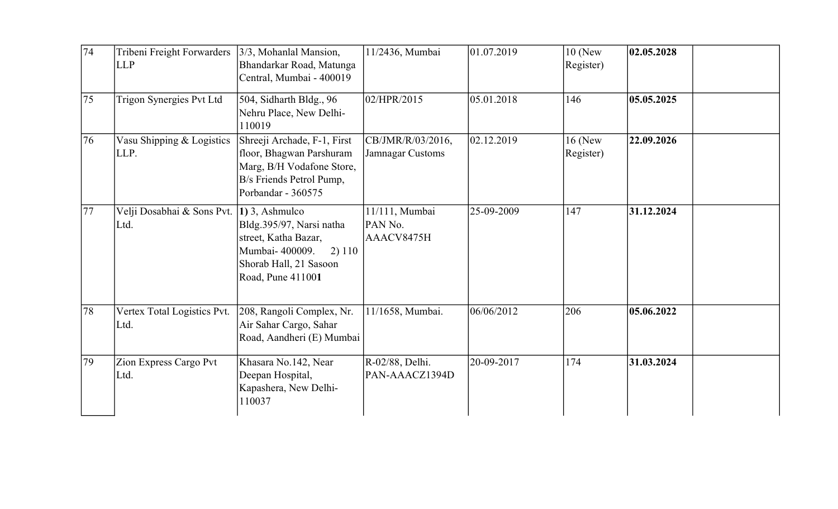| 74 | Tribeni Freight Forwarders<br><b>LLP</b> | $3/3$ , Mohanlal Mansion,<br>Bhandarkar Road, Matunga<br>Central, Mumbai - 400019                                                              | 11/2436, Mumbai                         | 01.07.2019 | $10$ (New<br>Register) | 02.05.2028 |  |
|----|------------------------------------------|------------------------------------------------------------------------------------------------------------------------------------------------|-----------------------------------------|------------|------------------------|------------|--|
| 75 | Trigon Synergies Pvt Ltd                 | $504$ , Sidharth Bldg., 96<br>Nehru Place, New Delhi-<br>110019                                                                                | 02/HPR/2015                             | 05.01.2018 | 146                    | 05.05.2025 |  |
| 76 | Vasu Shipping & Logistics<br>LLP.        | Shreeji Archade, F-1, First<br>floor, Bhagwan Parshuram<br>Marg, B/H Vodafone Store,<br>B/s Friends Petrol Pump,<br>Porbandar - 360575         | CB/JMR/R/03/2016,<br>Jamnagar Customs   | 02.12.2019 | $16$ (New<br>Register) | 22.09.2026 |  |
| 77 | Velji Dosabhai & Sons Pvt.<br>Ltd.       | 1) 3, Ashmulco<br>Bldg.395/97, Narsi natha<br>street, Katha Bazar,<br>Mumbai- 400009.<br>2) 110<br>Shorab Hall, 21 Sasoon<br>Road, Pune 411001 | 11/111, Mumbai<br>PAN No.<br>AAACV8475H | 25-09-2009 | 147                    | 31.12.2024 |  |
| 78 | Vertex Total Logistics Pvt.<br>Ltd.      | 208, Rangoli Complex, Nr.<br>Air Sahar Cargo, Sahar<br>Road, Aandheri (E) Mumbai                                                               | 11/1658, Mumbai.                        | 06/06/2012 | 206                    | 05.06.2022 |  |
| 79 | Zion Express Cargo Pvt<br>Ltd.           | Khasara No.142, Near<br>Deepan Hospital,<br>Kapashera, New Delhi-<br>110037                                                                    | R-02/88, Delhi.<br>PAN-AAACZ1394D       | 20-09-2017 | 174                    | 31.03.2024 |  |